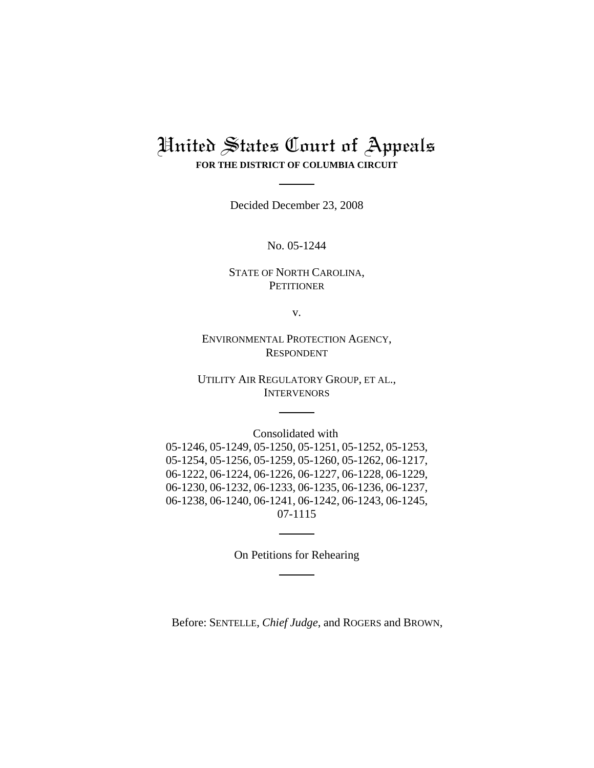## United States Court of Appeals **FOR THE DISTRICT OF COLUMBIA CIRCUIT**

Decided December 23, 2008

No. 05-1244

## STATE OF NORTH CAROLINA, **PETITIONER**

v.

ENVIRONMENTAL PROTECTION AGENCY, RESPONDENT

UTILITY AIR REGULATORY GROUP, ET AL., INTERVENORS

Consolidated with 05-1246, 05-1249, 05-1250, 05-1251, 05-1252, 05-1253, 05-1254, 05-1256, 05-1259, 05-1260, 05-1262, 06-1217, 06-1222, 06-1224, 06-1226, 06-1227, 06-1228, 06-1229, 06-1230, 06-1232, 06-1233, 06-1235, 06-1236, 06-1237, 06-1238, 06-1240, 06-1241, 06-1242, 06-1243, 06-1245, 07-1115

On Petitions for Rehearing

Before: SENTELLE, *Chief Judge*, and ROGERS and BROWN,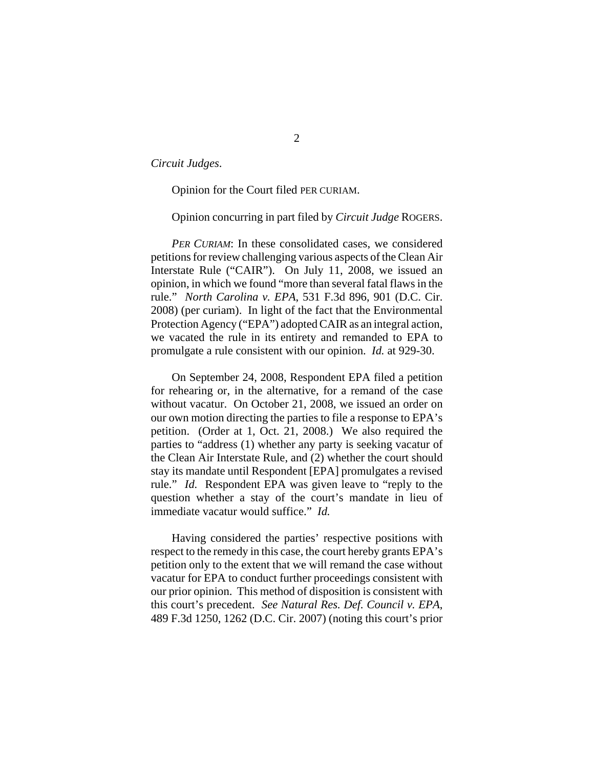*Circuit Judges*.

Opinion for the Court filed PER CURIAM.

Opinion concurring in part filed by *Circuit Judge* ROGERS.

*PER CURIAM*: In these consolidated cases, we considered petitions for review challenging various aspects of the Clean Air Interstate Rule ("CAIR"). On July 11, 2008, we issued an opinion, in which we found "more than several fatal flaws in the rule." *North Carolina v. EPA*, 531 F.3d 896, 901 (D.C. Cir. 2008) (per curiam). In light of the fact that the Environmental Protection Agency ("EPA") adopted CAIR as an integral action, we vacated the rule in its entirety and remanded to EPA to promulgate a rule consistent with our opinion. *Id.* at 929-30.

On September 24, 2008, Respondent EPA filed a petition for rehearing or, in the alternative, for a remand of the case without vacatur. On October 21, 2008, we issued an order on our own motion directing the parties to file a response to EPA's petition. (Order at 1, Oct. 21, 2008.) We also required the parties to "address (1) whether any party is seeking vacatur of the Clean Air Interstate Rule, and (2) whether the court should stay its mandate until Respondent [EPA] promulgates a revised rule." *Id.* Respondent EPA was given leave to "reply to the question whether a stay of the court's mandate in lieu of immediate vacatur would suffice." *Id.*

Having considered the parties' respective positions with respect to the remedy in this case, the court hereby grants EPA's petition only to the extent that we will remand the case without vacatur for EPA to conduct further proceedings consistent with our prior opinion. This method of disposition is consistent with this court's precedent. *See Natural Res. Def. Council v. EPA*, 489 F.3d 1250, 1262 (D.C. Cir. 2007) (noting this court's prior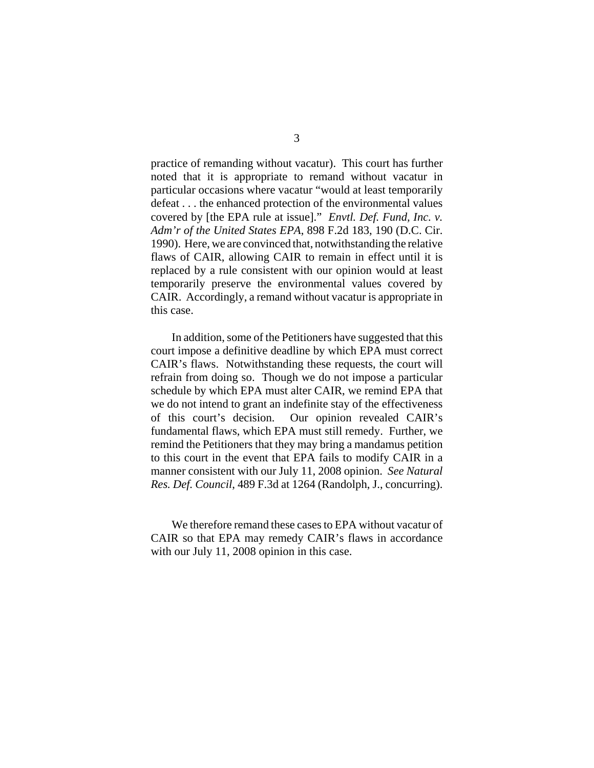practice of remanding without vacatur). This court has further noted that it is appropriate to remand without vacatur in particular occasions where vacatur "would at least temporarily defeat . . . the enhanced protection of the environmental values covered by [the EPA rule at issue]." *Envtl. Def. Fund, Inc. v. Adm'r of the United States EPA*, 898 F.2d 183, 190 (D.C. Cir. 1990). Here, we are convinced that, notwithstanding the relative flaws of CAIR, allowing CAIR to remain in effect until it is replaced by a rule consistent with our opinion would at least temporarily preserve the environmental values covered by CAIR. Accordingly, a remand without vacatur is appropriate in this case.

In addition, some of the Petitioners have suggested that this court impose a definitive deadline by which EPA must correct CAIR's flaws. Notwithstanding these requests, the court will refrain from doing so. Though we do not impose a particular schedule by which EPA must alter CAIR, we remind EPA that we do not intend to grant an indefinite stay of the effectiveness of this court's decision. Our opinion revealed CAIR's fundamental flaws, which EPA must still remedy. Further, we remind the Petitioners that they may bring a mandamus petition to this court in the event that EPA fails to modify CAIR in a manner consistent with our July 11, 2008 opinion. *See Natural Res. Def. Council*, 489 F.3d at 1264 (Randolph, J., concurring).

We therefore remand these cases to EPA without vacatur of CAIR so that EPA may remedy CAIR's flaws in accordance with our July 11, 2008 opinion in this case.